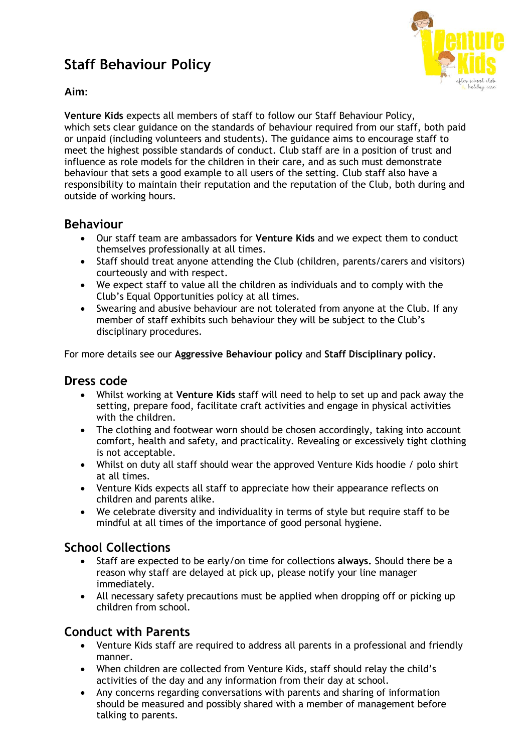# **Staff Behaviour Policy**



#### **Aim:**

**Venture Kids** expects all members of staff to follow our Staff Behaviour Policy, which sets clear guidance on the standards of behaviour required from our staff, both paid or unpaid (including volunteers and students). The guidance aims to encourage staff to meet the highest possible standards of conduct. Club staff are in a position of trust and influence as role models for the children in their care, and as such must demonstrate behaviour that sets a good example to all users of the setting. Club staff also have a responsibility to maintain their reputation and the reputation of the Club, both during and outside of working hours.

#### **Behaviour**

- Our staff team are ambassadors for **Venture Kids** and we expect them to conduct themselves professionally at all times.
- Staff should treat anyone attending the Club (children, parents/carers and visitors) courteously and with respect.
- We expect staff to value all the children as individuals and to comply with the Club's Equal Opportunities policy at all times.
- Swearing and abusive behaviour are not tolerated from anyone at the Club. If any member of staff exhibits such behaviour they will be subject to the Club's disciplinary procedures.

For more details see our **Aggressive Behaviour policy** and **Staff Disciplinary policy.**

#### **Dress code**

- Whilst working at **Venture Kids** staff will need to help to set up and pack away the setting, prepare food, facilitate craft activities and engage in physical activities with the children.
- The clothing and footwear worn should be chosen accordingly, taking into account comfort, health and safety, and practicality. Revealing or excessively tight clothing is not acceptable.
- Whilst on duty all staff should wear the approved Venture Kids hoodie / polo shirt at all times.
- Venture Kids expects all staff to appreciate how their appearance reflects on children and parents alike.
- We celebrate diversity and individuality in terms of style but require staff to be mindful at all times of the importance of good personal hygiene.

### **School Collections**

- Staff are expected to be early/on time for collections **always.** Should there be a reason why staff are delayed at pick up, please notify your line manager immediately.
- All necessary safety precautions must be applied when dropping off or picking up children from school.

## **Conduct with Parents**

- Venture Kids staff are required to address all parents in a professional and friendly manner.
- When children are collected from Venture Kids, staff should relay the child's activities of the day and any information from their day at school.
- Any concerns regarding conversations with parents and sharing of information should be measured and possibly shared with a member of management before talking to parents.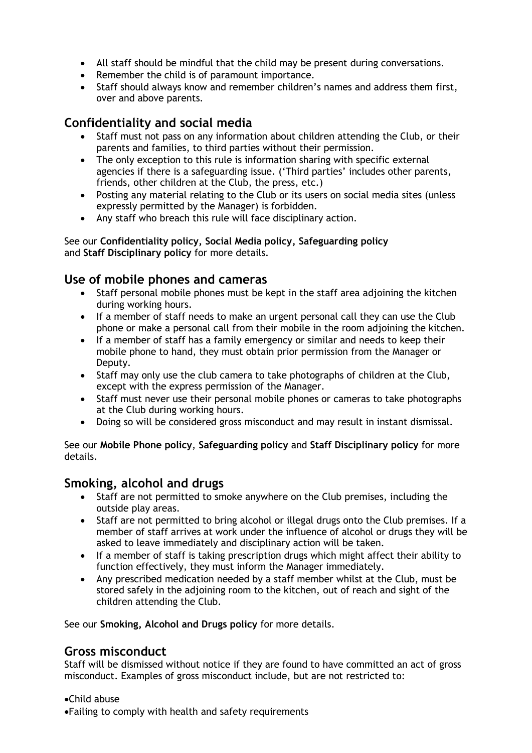- All staff should be mindful that the child may be present during conversations.
- Remember the child is of paramount importance.
- Staff should always know and remember children's names and address them first, over and above parents.

#### **Confidentiality and social media**

- Staff must not pass on any information about children attending the Club, or their parents and families, to third parties without their permission.
- The only exception to this rule is information sharing with specific external agencies if there is a safeguarding issue. ('Third parties' includes other parents, friends, other children at the Club, the press, etc.)
- Posting any material relating to the Club or its users on social media sites (unless expressly permitted by the Manager) is forbidden.
- Any staff who breach this rule will face disciplinary action.

#### See our **Confidentiality policy, Social Media policy, Safeguarding policy** and **Staff Disciplinary policy** for more details.

#### **Use of mobile phones and cameras**

- Staff personal mobile phones must be kept in the staff area adioining the kitchen during working hours.
- If a member of staff needs to make an urgent personal call they can use the Club phone or make a personal call from their mobile in the room adjoining the kitchen.
- If a member of staff has a family emergency or similar and needs to keep their mobile phone to hand, they must obtain prior permission from the Manager or Deputy.
- Staff may only use the club camera to take photographs of children at the Club, except with the express permission of the Manager.
- Staff must never use their personal mobile phones or cameras to take photographs at the Club during working hours.
- Doing so will be considered gross misconduct and may result in instant dismissal.

See our **Mobile Phone policy**, **Safeguarding policy** and **Staff Disciplinary policy** for more details.

#### **Smoking, alcohol and drugs**

- Staff are not permitted to smoke anywhere on the Club premises, including the outside play areas.
- Staff are not permitted to bring alcohol or illegal drugs onto the Club premises. If a member of staff arrives at work under the influence of alcohol or drugs they will be asked to leave immediately and disciplinary action will be taken.
- If a member of staff is taking prescription drugs which might affect their ability to function effectively, they must inform the Manager immediately.
- Any prescribed medication needed by a staff member whilst at the Club, must be stored safely in the adjoining room to the kitchen, out of reach and sight of the children attending the Club.

See our **Smoking, Alcohol and Drugs policy** for more details.

### **Gross misconduct**

Staff will be dismissed without notice if they are found to have committed an act of gross misconduct. Examples of gross misconduct include, but are not restricted to:

•Child abuse

•Failing to comply with health and safety requirements